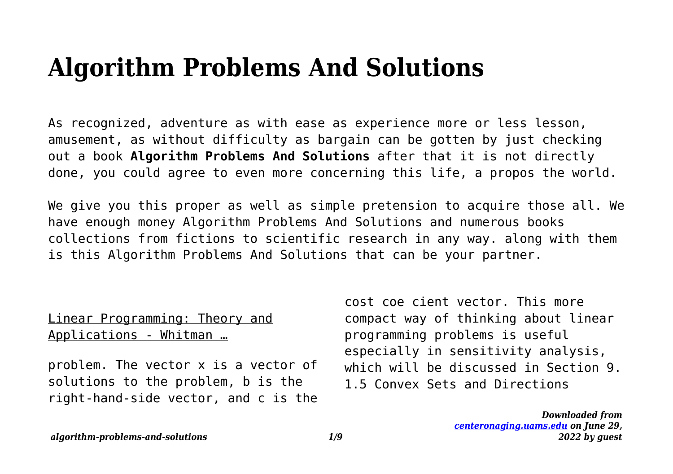# **Algorithm Problems And Solutions**

As recognized, adventure as with ease as experience more or less lesson, amusement, as without difficulty as bargain can be gotten by just checking out a book **Algorithm Problems And Solutions** after that it is not directly done, you could agree to even more concerning this life, a propos the world.

We give you this proper as well as simple pretension to acquire those all. We have enough money Algorithm Problems And Solutions and numerous books collections from fictions to scientific research in any way. along with them is this Algorithm Problems And Solutions that can be your partner.

## Linear Programming: Theory and Applications - Whitman …

problem. The vector x is a vector of solutions to the problem, b is the right-hand-side vector, and c is the

cost coe cient vector. This more compact way of thinking about linear programming problems is useful especially in sensitivity analysis, which will be discussed in Section 9. 1.5 Convex Sets and Directions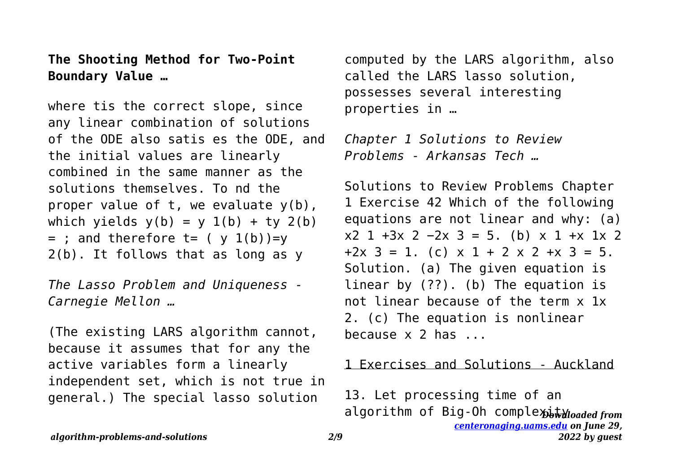**The Shooting Method for Two-Point Boundary Value …**

where tis the correct slope, since any linear combination of solutions of the ODE also satis es the ODE, and the initial values are linearly combined in the same manner as the solutions themselves. To nd the proper value of  $t$ , we evaluate  $y(b)$ , which yields  $y(b) = y 1(b) + ty 2(b)$  $=$  ; and therefore t= (  $\vee$  1(b))= $\vee$ 2(b). It follows that as long as y

*The Lasso Problem and Uniqueness - Carnegie Mellon …*

(The existing LARS algorithm cannot, because it assumes that for any the active variables form a linearly independent set, which is not true in general.) The special lasso solution

computed by the LARS algorithm, also called the LARS lasso solution, possesses several interesting properties in …

*Chapter 1 Solutions to Review Problems - Arkansas Tech …*

Solutions to Review Problems Chapter 1 Exercise 42 Which of the following equations are not linear and why: (a)  $x2$  1 +3x 2 −2x 3 = 5. (b) x 1 +x 1x 2  $+2x$  3 = 1. (c)  $x$  1 + 2  $x$  2 +  $x$  3 = 5. Solution. (a) The given equation is linear by (??). (b) The equation is not linear because of the term x 1x 2. (c) The equation is nonlinear because x 2 has ...

#### 1 Exercises and Solutions - Auckland

algorithm of Big-Oh complexityloaded from *[centeronaging.uams.edu](http://centeronaging.uams.edu) on June 29, 2022 by guest* 13. Let processing time of an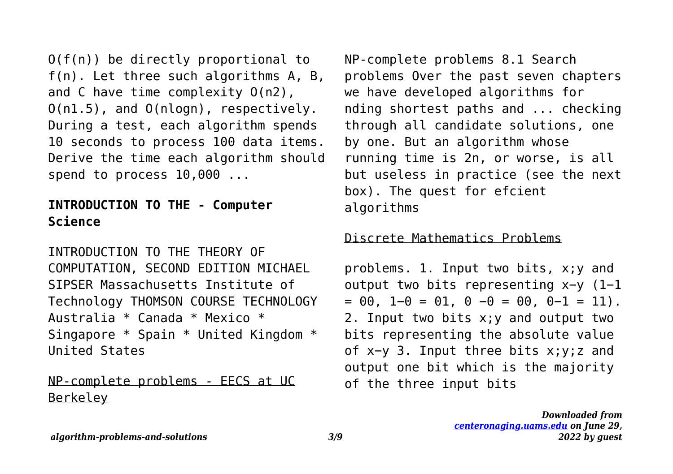O(f(n)) be directly proportional to f(n). Let three such algorithms A, B, and C have time complexity O(n2), O(n1.5), and O(nlogn), respectively. During a test, each algorithm spends 10 seconds to process 100 data items. Derive the time each algorithm should spend to process 10,000 ...

## **INTRODUCTION TO THE - Computer Science**

INTRODUCTION TO THE THEORY OF COMPUTATION, SECOND EDITION MICHAEL SIPSER Massachusetts Institute of Technology THOMSON COURSE TECHNOLOGY Australia \* Canada \* Mexico \* Singapore \* Spain \* United Kingdom \* United States

NP-complete problems - EECS at UC Berkeley

NP-complete problems 8.1 Search problems Over the past seven chapters we have developed algorithms for nding shortest paths and ... checking through all candidate solutions, one by one. But an algorithm whose running time is 2n, or worse, is all but useless in practice (see the next box). The quest for efcient algorithms

#### Discrete Mathematics Problems

problems. 1. Input two bits, x;y and output two bits representing x−y (1−1  $= 00$ , 1-0 = 01, 0 -0 = 00, 0-1 = 11). 2. Input two bits x;y and output two bits representing the absolute value of x−y 3. Input three bits x;y;z and output one bit which is the majority of the three input bits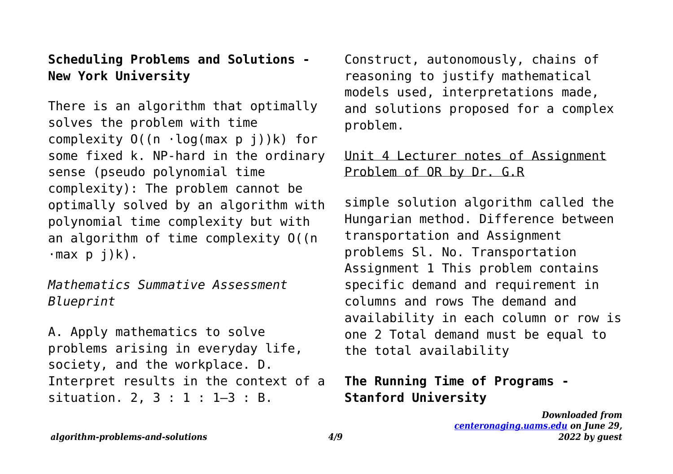**Scheduling Problems and Solutions - New York University**

There is an algorithm that optimally solves the problem with time complexity  $O((n \cdot log(max p i))k)$  for some fixed k. NP-hard in the ordinary sense (pseudo polynomial time complexity): The problem cannot be optimally solved by an algorithm with polynomial time complexity but with an algorithm of time complexity O((n  $\cdot$ max p j)k).

*Mathematics Summative Assessment Blueprint*

A. Apply mathematics to solve problems arising in everyday life, society, and the workplace. D. Interpret results in the context of a situation. 2, 3 : 1 : 1–3 : B.

Construct, autonomously, chains of reasoning to justify mathematical models used, interpretations made, and solutions proposed for a complex problem.

## Unit 4 Lecturer notes of Assignment Problem of OR by Dr. G.R

simple solution algorithm called the Hungarian method. Difference between transportation and Assignment problems Sl. No. Transportation Assignment 1 This problem contains specific demand and requirement in columns and rows The demand and availability in each column or row is one 2 Total demand must be equal to the total availability

# **The Running Time of Programs - Stanford University**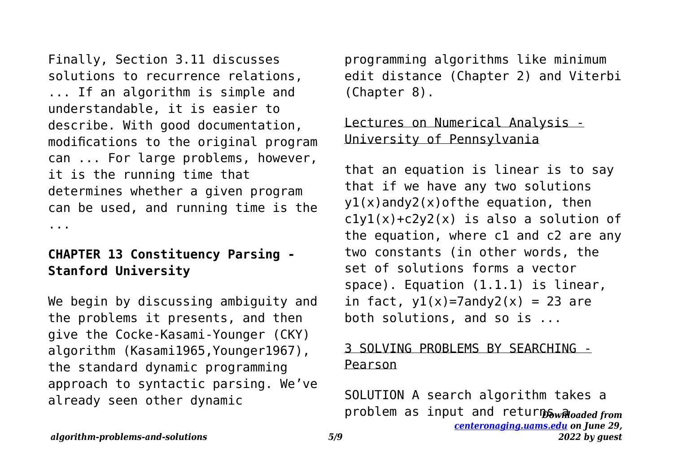Finally, Section 3.11 discusses solutions to recurrence relations, ... If an algorithm is simple and understandable, it is easier to describe. With good documentation, modifications to the original program can ... For large problems, however, it is the running time that determines whether a given program can be used, and running time is the ...

# **CHAPTER 13 Constituency Parsing - Stanford University**

We begin by discussing ambiguity and the problems it presents, and then give the Cocke-Kasami-Younger (CKY) algorithm (Kasami1965,Younger1967), the standard dynamic programming approach to syntactic parsing. We've already seen other dynamic

programming algorithms like minimum edit distance (Chapter 2) and Viterbi (Chapter 8).

# Lectures on Numerical Analysis -University of Pennsylvania

that an equation is linear is to say that if we have any two solutions  $y1(x)$ andy2(x)ofthe equation, then  $c1y1(x)+c2y2(x)$  is also a solution of the equation, where c1 and c2 are any two constants (in other words, the set of solutions forms a vector space). Equation (1.1.1) is linear, in fact,  $y1(x)=7$ andy2(x) = 23 are both solutions, and so is ...

#### 3 SOLVING PROBLEMS BY SEARCHING - Pearson

problem as input and returnSw<sub>Rhoaded from</sub> *[centeronaging.uams.edu](http://centeronaging.uams.edu) on June 29,* SOLUTION A search algorithm takes a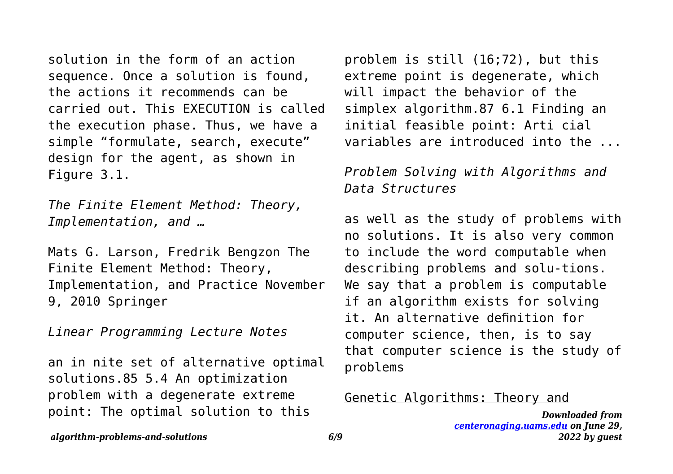solution in the form of an action sequence. Once a solution is found, the actions it recommends can be carried out. This EXECUTION is called the execution phase. Thus, we have a simple "formulate, search, execute" design for the agent, as shown in Figure 3.1.

*The Finite Element Method: Theory, Implementation, and …*

Mats G. Larson, Fredrik Bengzon The Finite Element Method: Theory, Implementation, and Practice November 9, 2010 Springer

*Linear Programming Lecture Notes*

an in nite set of alternative optimal solutions.85 5.4 An optimization problem with a degenerate extreme point: The optimal solution to this

problem is still (16;72), but this extreme point is degenerate, which will impact the behavior of the simplex algorithm.87 6.1 Finding an initial feasible point: Arti cial variables are introduced into the ...

## *Problem Solving with Algorithms and Data Structures*

as well as the study of problems with no solutions. It is also very common to include the word computable when describing problems and solu-tions. We say that a problem is computable if an algorithm exists for solving it. An alternative definition for computer science, then, is to say that computer science is the study of problems

#### Genetic Algorithms: Theory and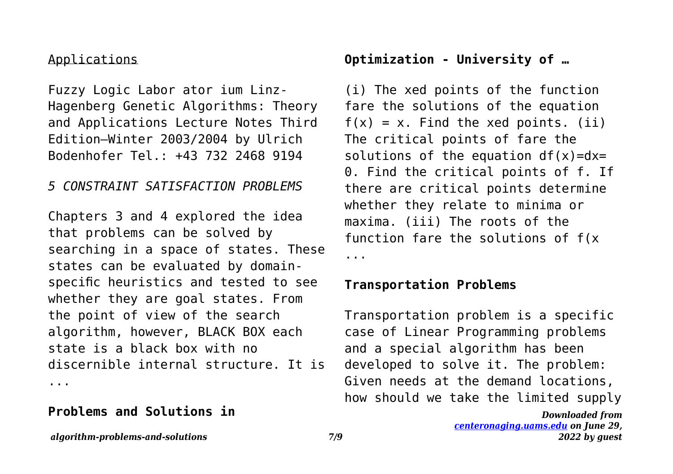#### Applications

Fuzzy Logic Labor ator ium Linz-Hagenberg Genetic Algorithms: Theory and Applications Lecture Notes Third Edition—Winter 2003/2004 by Ulrich Bodenhofer Tel.: +43 732 2468 9194

## *5 CONSTRAINT SATISFACTION PROBLEMS*

Chapters 3 and 4 explored the idea that problems can be solved by searching in a space of states. These states can be evaluated by domainspecific heuristics and tested to see whether they are goal states. From the point of view of the search algorithm, however, BLACK BOX each state is a black box with no discernible internal structure. It is ...

## **Problems and Solutions in**

# **Optimization - University of …**

(i) The xed points of the function fare the solutions of the equation  $f(x) = x$ . Find the xed points. (ii) The critical points of fare the solutions of the equation  $df(x)=dx=$ 0. Find the critical points of f. If there are critical points determine whether they relate to minima or maxima. (iii) The roots of the function fare the solutions of f(x ...

#### **Transportation Problems**

Transportation problem is a specific case of Linear Programming problems and a special algorithm has been developed to solve it. The problem: Given needs at the demand locations, how should we take the limited supply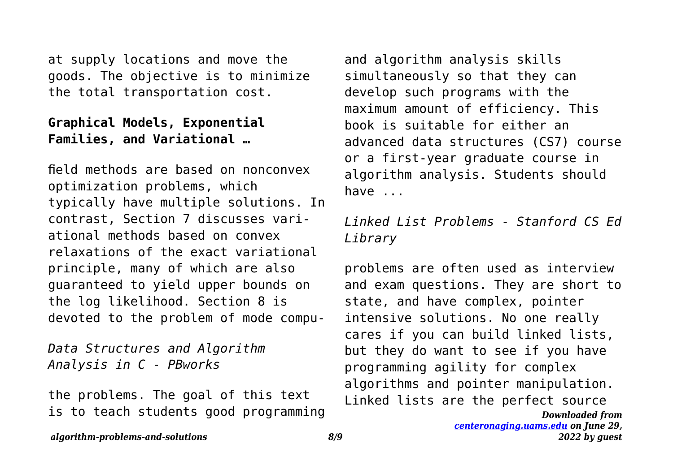at supply locations and move the goods. The objective is to minimize the total transportation cost.

## **Graphical Models, Exponential Families, and Variational …**

field methods are based on nonconvex optimization problems, which typically have multiple solutions. In contrast, Section 7 discusses variational methods based on convex relaxations of the exact variational principle, many of which are also guaranteed to yield upper bounds on the log likelihood. Section 8 is devoted to the problem of mode compu-

*Data Structures and Algorithm Analysis in C - PBworks*

the problems. The goal of this text is to teach students good programming and algorithm analysis skills simultaneously so that they can develop such programs with the maximum amount of efficiency. This book is suitable for either an advanced data structures (CS7) course or a first-year graduate course in algorithm analysis. Students should have ...

*Linked List Problems - Stanford CS Ed Library*

problems are often used as interview and exam questions. They are short to state, and have complex, pointer intensive solutions. No one really cares if you can build linked lists, but they do want to see if you have programming agility for complex algorithms and pointer manipulation. Linked lists are the perfect source